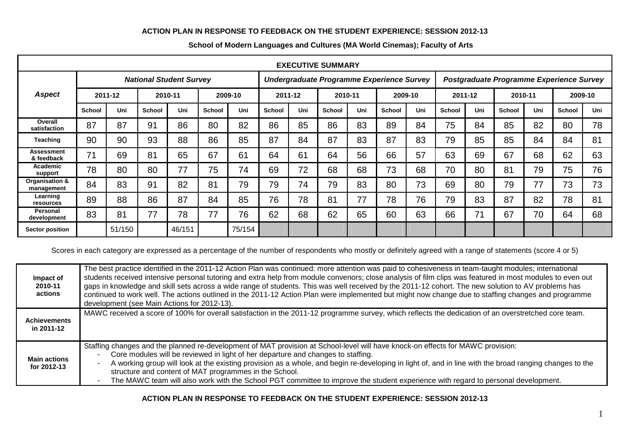## **ACTION PLAN IN RESPONSE TO FEEDBACK ON THE STUDENT EXPERIENCE: SESSION 2012-13**

| <b>EXECUTIVE SUMMARY</b>        |                                |        |               |        |               |        |                                           |     |               |     |               |     |                                          |     |               |     |         |     |
|---------------------------------|--------------------------------|--------|---------------|--------|---------------|--------|-------------------------------------------|-----|---------------|-----|---------------|-----|------------------------------------------|-----|---------------|-----|---------|-----|
|                                 | <b>National Student Survey</b> |        |               |        |               |        | Undergraduate Programme Experience Survey |     |               |     |               |     | Postgraduate Programme Experience Survey |     |               |     |         |     |
| <b>Aspect</b>                   | 2011-12                        |        | 2010-11       |        | 2009-10       |        | 2011-12                                   |     | 2010-11       |     | 2009-10       |     | 2011-12                                  |     | 2010-11       |     | 2009-10 |     |
|                                 | <b>School</b>                  | Uni    | <b>School</b> | Uni    | <b>School</b> | Uni    | <b>School</b>                             | Uni | <b>School</b> | Uni | <b>School</b> | Uni | School                                   | Uni | <b>School</b> | Uni | School  | Uni |
| Overall<br>satisfaction         | 87                             | 87     | 91            | 86     | 80            | 82     | 86                                        | 85  | 86            | 83  | 89            | 84  | 75                                       | 84  | 85            | 82  | 80      | 78  |
| <b>Teaching</b>                 | 90                             | 90     | 93            | 88     | 86            | 85     | 87                                        | 84  | 87            | 83  | 87            | 83  | 79                                       | 85  | 85            | 84  | 84      | 81  |
| <b>Assessment</b><br>& feedback | 71                             | 69     | 81            | 65     | 67            | 61     | 64                                        | 61  | 64            | 56  | 66            | 57  | 63                                       | 69  | 67            | 68  | 62      | 63  |
| Academic<br>support             | 78                             | 80     | 80            | 77     | 75            | 74     | 69                                        | 72  | 68            | 68  | 73            | 68  | 70                                       | 80  | 81            | 79  | 75      | 76  |
| Organisation &<br>management    | 84                             | 83     | 91            | 82     | 81            | 79     | 79                                        | 74  | 79            | 83  | 80            | 73  | 69                                       | 80  | 79            | 77  | 73      | 73  |
| Learning<br>resources           | 89                             | 88     | 86            | 87     | 84            | 85     | 76                                        | 78  | 81            | 77  | 78            | 76  | 79                                       | 83  | 87            | 82  | 78      | 81  |
| <b>Personal</b><br>development  | 83                             | 81     | 77            | 78     | 77            | 76     | 62                                        | 68  | 62            | 65  | 60            | 63  | 66                                       | 71  | 67            | 70  | 64      | 68  |
| Sector position                 |                                | 51/150 |               | 46/151 |               | 75/154 |                                           |     |               |     |               |     |                                          |     |               |     |         |     |

## **School of Modern Languages and Cultures (MA World Cinemas); Faculty of Arts**

Scores in each category are expressed as a percentage of the number of respondents who mostly or definitely agreed with a range of statements (score 4 or 5)

| Impact of<br>2010-11<br>actions    | The best practice identified in the 2011-12 Action Plan was continued: more attention was paid to cohesiveness in team-taught modules; international<br>students received intensive personal tutoring and extra help from module convenors; close analysis of film clips was featured in most modules to even out<br>gaps in knowledge and skill sets across a wide range of students. This was well received by the 2011-12 cohort. The new solution to AV problems has<br>continued to work well. The actions outlined in the 2011-12 Action Plan were implemented but might now change due to staffing changes and programme<br>development (see Main Actions for 2012-13). |
|------------------------------------|--------------------------------------------------------------------------------------------------------------------------------------------------------------------------------------------------------------------------------------------------------------------------------------------------------------------------------------------------------------------------------------------------------------------------------------------------------------------------------------------------------------------------------------------------------------------------------------------------------------------------------------------------------------------------------|
| <b>Achievements</b><br>in 2011-12  | MAWC received a score of 100% for overall satisfaction in the 2011-12 programme survey, which reflects the dedication of an overstretched core team.                                                                                                                                                                                                                                                                                                                                                                                                                                                                                                                           |
| <b>Main actions</b><br>for 2012-13 | Staffing changes and the planned re-development of MAT provision at School-level will have knock-on effects for MAWC provision:<br>Core modules will be reviewed in light of her departure and changes to staffing.<br>$\overline{\phantom{a}}$<br>A working group will look at the existing provision as a whole, and begin re-developing in light of, and in line with the broad ranging changes to the<br>$\overline{\phantom{a}}$<br>structure and content of MAT programmes in the School.<br>The MAWC team will also work with the School PGT committee to improve the student experience with regard to personal development.                                           |

## **ACTION PLAN IN RESPONSE TO FEEDBACK ON THE STUDENT EXPERIENCE: SESSION 2012-13**